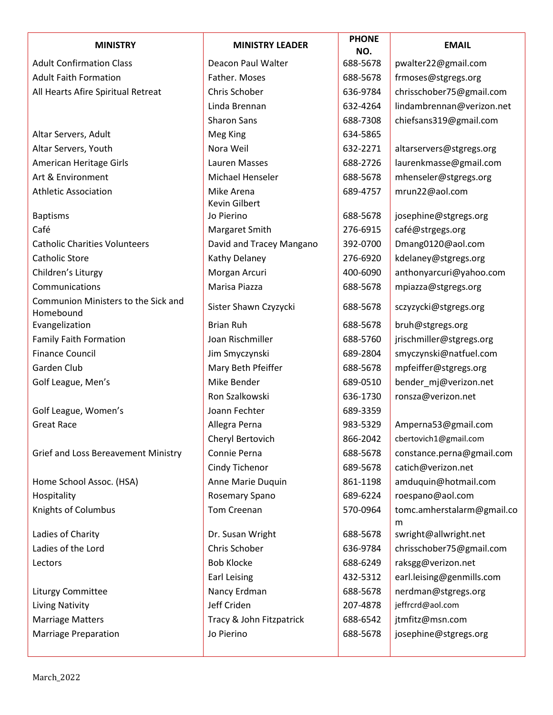| <b>MINISTRY</b>                                  | <b>MINISTRY LEADER</b>             | <b>PHONE</b><br>NO. | <b>EMAIL</b>                    |
|--------------------------------------------------|------------------------------------|---------------------|---------------------------------|
| <b>Adult Confirmation Class</b>                  | Deacon Paul Walter                 | 688-5678            | pwalter22@gmail.com             |
| <b>Adult Faith Formation</b>                     | Father. Moses                      | 688-5678            | frmoses@stgregs.org             |
| All Hearts Afire Spiritual Retreat               | Chris Schober                      | 636-9784            | chrisschober75@gmail.com        |
|                                                  | Linda Brennan                      | 632-4264            | lindambrennan@verizon.net       |
|                                                  | <b>Sharon Sans</b>                 | 688-7308            | chiefsans319@gmail.com          |
| Altar Servers, Adult                             | Meg King                           | 634-5865            |                                 |
| Altar Servers, Youth                             | Nora Weil                          | 632-2271            | altarservers@stgregs.org        |
| American Heritage Girls                          | Lauren Masses                      | 688-2726            | laurenkmasse@gmail.com          |
| Art & Environment                                | Michael Henseler                   | 688-5678            | mhenseler@stgregs.org           |
| <b>Athletic Association</b>                      | Mike Arena<br><b>Kevin Gilbert</b> | 689-4757            | mrun22@aol.com                  |
| <b>Baptisms</b>                                  | Jo Pierino                         | 688-5678            | josephine@stgregs.org           |
| Café                                             | Margaret Smith                     | 276-6915            | café@strgegs.org                |
| <b>Catholic Charities Volunteers</b>             | David and Tracey Mangano           | 392-0700            | Dmang0120@aol.com               |
| <b>Catholic Store</b>                            | Kathy Delaney                      | 276-6920            | kdelaney@stgregs.org            |
| Children's Liturgy                               | Morgan Arcuri                      | 400-6090            | anthonyarcuri@yahoo.com         |
| Communications                                   | Marisa Piazza                      | 688-5678            | mpiazza@stgregs.org             |
| Communion Ministers to the Sick and<br>Homebound | Sister Shawn Czyzycki              | 688-5678            | sczyzycki@stgregs.org           |
| Evangelization                                   | <b>Brian Ruh</b>                   | 688-5678            | bruh@stgregs.org                |
| <b>Family Faith Formation</b>                    | Joan Rischmiller                   | 688-5760            | jrischmiller@stgregs.org        |
| <b>Finance Council</b>                           | Jim Smyczynski                     | 689-2804            | smyczynski@natfuel.com          |
| Garden Club                                      | Mary Beth Pfeiffer                 | 688-5678            | mpfeiffer@stgregs.org           |
| Golf League, Men's                               | Mike Bender                        | 689-0510            | bender mj@verizon.net           |
|                                                  | Ron Szalkowski                     | 636-1730            | ronsza@verizon.net              |
| Golf League, Women's                             | Joann Fechter                      | 689-3359            |                                 |
| <b>Great Race</b>                                | Allegra Perna                      | 983-5329            | Amperna53@gmail.com             |
|                                                  | Cheryl Bertovich                   | 866-2042            | cbertovich1@gmail.com           |
| Grief and Loss Bereavement Ministry              | Connie Perna                       | 688-5678            | constance.perna@gmail.com       |
|                                                  | Cindy Tichenor                     | 689-5678            | catich@verizon.net              |
| Home School Assoc. (HSA)                         | Anne Marie Duquin                  | 861-1198            | amduquin@hotmail.com            |
| Hospitality                                      | Rosemary Spano                     | 689-6224            | roespano@aol.com                |
| Knights of Columbus                              | Tom Creenan                        | 570-0964            | tomc.amherstalarm@gmail.co<br>m |
| Ladies of Charity                                | Dr. Susan Wright                   | 688-5678            | swright@allwright.net           |
| Ladies of the Lord                               | Chris Schober                      | 636-9784            | chrisschober75@gmail.com        |
| Lectors                                          | <b>Bob Klocke</b>                  | 688-6249            | raksgg@verizon.net              |
|                                                  | Earl Leising                       | 432-5312            | earl.leising@genmills.com       |
| Liturgy Committee                                | Nancy Erdman                       | 688-5678            | nerdman@stgregs.org             |
| Living Nativity                                  | Jeff Criden                        | 207-4878            | jeffrcrd@aol.com                |
| <b>Marriage Matters</b>                          | Tracy & John Fitzpatrick           | 688-6542            | jtmfitz@msn.com                 |
| <b>Marriage Preparation</b>                      | Jo Pierino                         | 688-5678            | josephine@stgregs.org           |
|                                                  |                                    |                     |                                 |